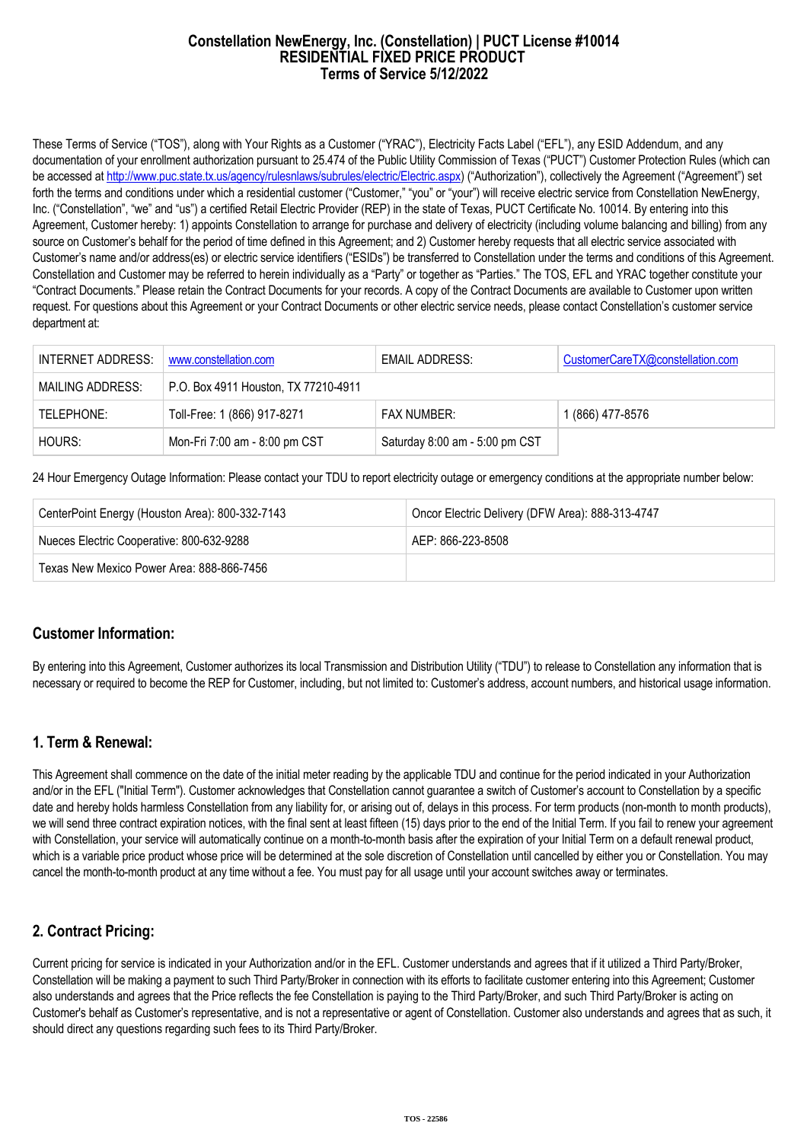#### **Constellation NewEnergy, Inc. (Constellation) | PUCT License #10014 RESIDENTIAL FIXED PRICE PRODUCT Terms of Service 5/12/2022**

These Terms of Service ("TOS"), along with Your Rights as a Customer ("YRAC"), Electricity Facts Label ("EFL"), any ESID Addendum, and any documentation of your enrollment authorization pursuant to 25.474 of the Public Utility Commission of Texas ("PUCT") Customer Protection Rules (which can be accessed at [http://www.puc.state.tx.us/agency/rulesnlaws/subrules/electric/Electric.aspx\)](http://www.puc.state.tx.us/agency/rulesnlaws/subrules/electric/Electric.aspx) ("Authorization"), collectively the Agreement ("Agreement") set forth the terms and conditions under which a residential customer ("Customer," "you" or "your") will receive electric service from Constellation NewEnergy, Inc. ("Constellation", "we" and "us") a certified Retail Electric Provider (REP) in the state of Texas, PUCT Certificate No. 10014. By entering into this Agreement, Customer hereby: 1) appoints Constellation to arrange for purchase and delivery of electricity (including volume balancing and billing) from any source on Customer's behalf for the period of time defined in this Agreement; and 2) Customer hereby requests that all electric service associated with Customer's name and/or address(es) or electric service identifiers ("ESIDs") be transferred to Constellation under the terms and conditions of this Agreement. Constellation and Customer may be referred to herein individually as a "Party" or together as "Parties." The TOS, EFL and YRAC together constitute your "Contract Documents." Please retain the Contract Documents for your records. A copy of the Contract Documents are available to Customer upon written request. For questions about this Agreement or your Contract Documents or other electric service needs, please contact Constellation's customer service department at:

| INTERNET ADDRESS: | www.constellation.com                | EMAIL ADDRESS:                 | CustomerCareTX@constellation.com |
|-------------------|--------------------------------------|--------------------------------|----------------------------------|
| MAILING ADDRESS:  | P.O. Box 4911 Houston, TX 77210-4911 |                                |                                  |
| TELEPHONE:        | Toll-Free: 1 (866) 917-8271          | <b>FAX NUMBER:</b>             | 1 (866) 477-8576                 |
| HOURS:            | Mon-Fri 7:00 am - 8:00 pm CST        | Saturday 8:00 am - 5:00 pm CST |                                  |

24 Hour Emergency Outage Information: Please contact your TDU to report electricity outage or emergency conditions at the appropriate number below:

| CenterPoint Energy (Houston Area): 800-332-7143 | Oncor Electric Delivery (DFW Area): 888-313-4747 |  |
|-------------------------------------------------|--------------------------------------------------|--|
| Nueces Electric Cooperative: 800-632-9288       | AFP: 866-223-8508                                |  |
| Texas New Mexico Power Area: 888-866-7456       |                                                  |  |

### **Customer Information:**

By entering into this Agreement, Customer authorizes its local Transmission and Distribution Utility ("TDU") to release to Constellation any information that is necessary or required to become the REP for Customer, including, but not limited to: Customer's address, account numbers, and historical usage information.

### **1. Term & Renewal:**

This Agreement shall commence on the date of the initial meter reading by the applicable TDU and continue for the period indicated in your Authorization and/or in the EFL ("Initial Term"). Customer acknowledges that Constellation cannot guarantee a switch of Customer's account to Constellation by a specific date and hereby holds harmless Constellation from any liability for, or arising out of, delays in this process. For term products (non-month to month products), we will send three contract expiration notices, with the final sent at least fifteen (15) days prior to the end of the Initial Term. If you fail to renew your agreement with Constellation, your service will automatically continue on a month-to-month basis after the expiration of your Initial Term on a default renewal product, which is a variable price product whose price will be determined at the sole discretion of Constellation until cancelled by either you or Constellation. You may cancel the month-to-month product at any time without a fee. You must pay for all usage until your account switches away or terminates.

# **2. Contract Pricing:**

Current pricing for service is indicated in your Authorization and/or in the EFL. Customer understands and agrees that if it utilized a Third Party/Broker, Constellation will be making a payment to such Third Party/Broker in connection with its efforts to facilitate customer entering into this Agreement; Customer also understands and agrees that the Price reflects the fee Constellation is paying to the Third Party/Broker, and such Third Party/Broker is acting on Customer's behalf as Customer's representative, and is not a representative or agent of Constellation. Customer also understands and agrees that as such, it should direct any questions regarding such fees to its Third Party/Broker.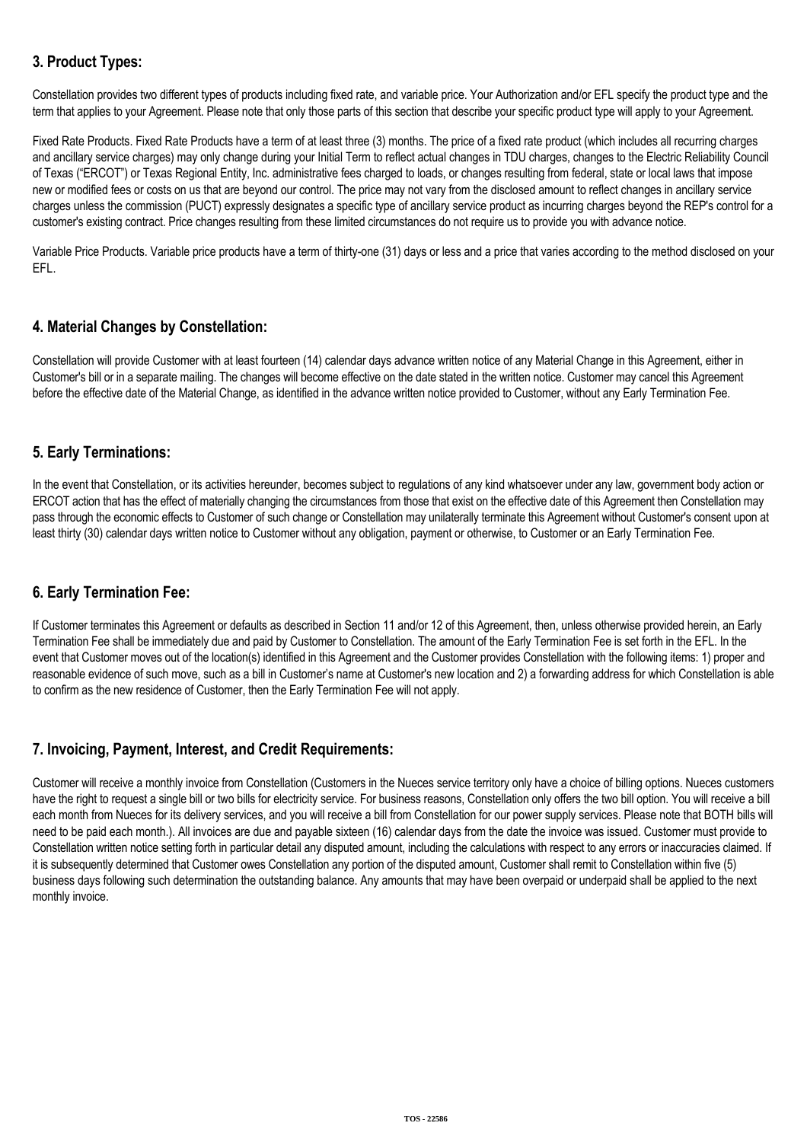# **3. Product Types:**

Constellation provides two different types of products including fixed rate, and variable price. Your Authorization and/or EFL specify the product type and the term that applies to your Agreement. Please note that only those parts of this section that describe your specific product type will apply to your Agreement.

Fixed Rate Products. Fixed Rate Products have a term of at least three (3) months. The price of a fixed rate product (which includes all recurring charges and ancillary service charges) may only change during your Initial Term to reflect actual changes in TDU charges, changes to the Electric Reliability Council of Texas ("ERCOT") or Texas Regional Entity, Inc. administrative fees charged to loads, or changes resulting from federal, state or local laws that impose new or modified fees or costs on us that are beyond our control. The price may not vary from the disclosed amount to reflect changes in ancillary service charges unless the commission (PUCT) expressly designates a specific type of ancillary service product as incurring charges beyond the REP's control for a customer's existing contract. Price changes resulting from these limited circumstances do not require us to provide you with advance notice.

Variable Price Products. Variable price products have a term of thirty-one (31) days or less and a price that varies according to the method disclosed on your EFL.

# **4. Material Changes by Constellation:**

Constellation will provide Customer with at least fourteen (14) calendar days advance written notice of any Material Change in this Agreement, either in Customer's bill or in a separate mailing. The changes will become effective on the date stated in the written notice. Customer may cancel this Agreement before the effective date of the Material Change, as identified in the advance written notice provided to Customer, without any Early Termination Fee.

### **5. Early Terminations:**

In the event that Constellation, or its activities hereunder, becomes subject to regulations of any kind whatsoever under any law, government body action or ERCOT action that has the effect of materially changing the circumstances from those that exist on the effective date of this Agreement then Constellation may pass through the economic effects to Customer of such change or Constellation may unilaterally terminate this Agreement without Customer's consent upon at least thirty (30) calendar days written notice to Customer without any obligation, payment or otherwise, to Customer or an Early Termination Fee.

### **6. Early Termination Fee:**

If Customer terminates this Agreement or defaults as described in Section 11 and/or 12 of this Agreement, then, unless otherwise provided herein, an Early Termination Fee shall be immediately due and paid by Customer to Constellation. The amount of the Early Termination Fee is set forth in the EFL. In the event that Customer moves out of the location(s) identified in this Agreement and the Customer provides Constellation with the following items: 1) proper and reasonable evidence of such move, such as a bill in Customer's name at Customer's new location and 2) a forwarding address for which Constellation is able to confirm as the new residence of Customer, then the Early Termination Fee will not apply.

### **7. Invoicing, Payment, Interest, and Credit Requirements:**

Customer will receive a monthly invoice from Constellation (Customers in the Nueces service territory only have a choice of billing options. Nueces customers have the right to request a single bill or two bills for electricity service. For business reasons, Constellation only offers the two bill option. You will receive a bill each month from Nueces for its delivery services, and you will receive a bill from Constellation for our power supply services. Please note that BOTH bills will need to be paid each month.). All invoices are due and payable sixteen (16) calendar days from the date the invoice was issued. Customer must provide to Constellation written notice setting forth in particular detail any disputed amount, including the calculations with respect to any errors or inaccuracies claimed. If it is subsequently determined that Customer owes Constellation any portion of the disputed amount, Customer shall remit to Constellation within five (5) business days following such determination the outstanding balance. Any amounts that may have been overpaid or underpaid shall be applied to the next monthly invoice.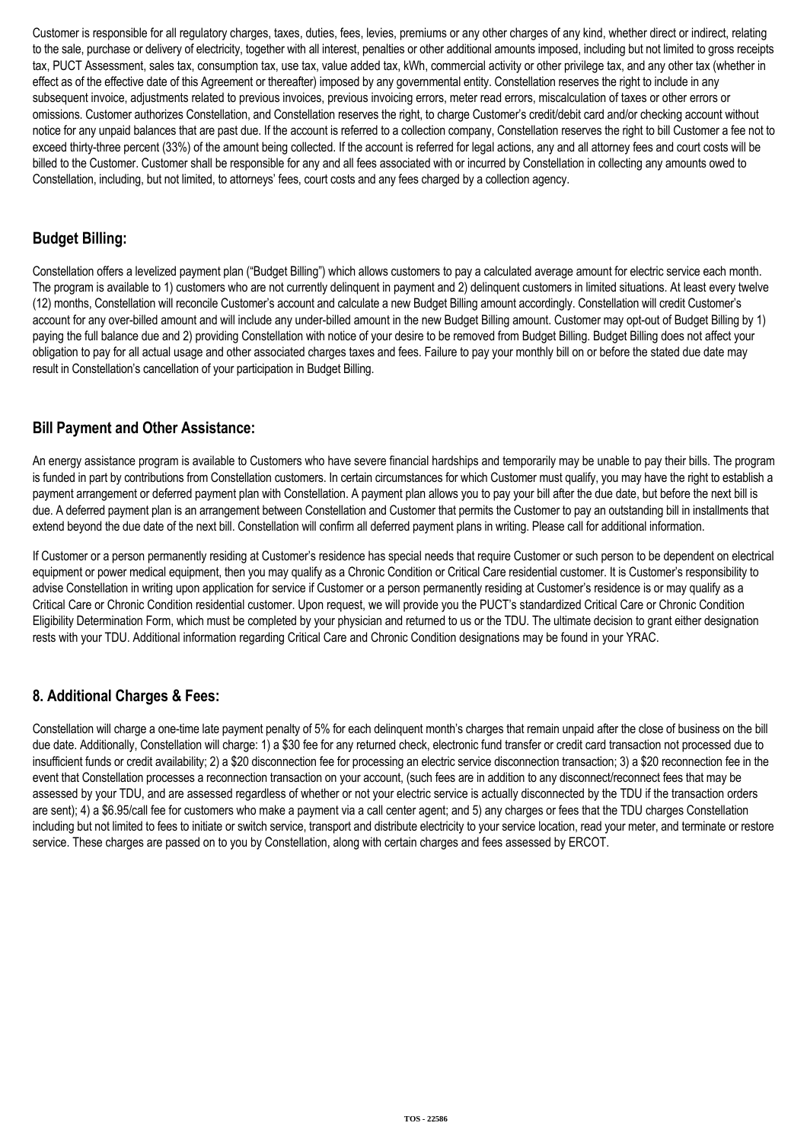Customer is responsible for all regulatory charges, taxes, duties, fees, levies, premiums or any other charges of any kind, whether direct or indirect, relating to the sale, purchase or delivery of electricity, together with all interest, penalties or other additional amounts imposed, including but not limited to gross receipts tax, PUCT Assessment, sales tax, consumption tax, use tax, value added tax, kWh, commercial activity or other privilege tax, and any other tax (whether in effect as of the effective date of this Agreement or thereafter) imposed by any governmental entity. Constellation reserves the right to include in any subsequent invoice, adjustments related to previous invoices, previous invoicing errors, meter read errors, miscalculation of taxes or other errors or omissions. Customer authorizes Constellation, and Constellation reserves the right, to charge Customer's credit/debit card and/or checking account without notice for any unpaid balances that are past due. If the account is referred to a collection company, Constellation reserves the right to bill Customer a fee not to exceed thirty-three percent (33%) of the amount being collected. If the account is referred for legal actions, any and all attorney fees and court costs will be billed to the Customer. Customer shall be responsible for any and all fees associated with or incurred by Constellation in collecting any amounts owed to Constellation, including, but not limited, to attorneys' fees, court costs and any fees charged by a collection agency.

## **Budget Billing:**

Constellation offers a levelized payment plan ("Budget Billing") which allows customers to pay a calculated average amount for electric service each month. The program is available to 1) customers who are not currently delinquent in payment and 2) delinquent customers in limited situations. At least every twelve (12) months, Constellation will reconcile Customer's account and calculate a new Budget Billing amount accordingly. Constellation will credit Customer's account for any over-billed amount and will include any under-billed amount in the new Budget Billing amount. Customer may opt-out of Budget Billing by 1) paying the full balance due and 2) providing Constellation with notice of your desire to be removed from Budget Billing. Budget Billing does not affect your obligation to pay for all actual usage and other associated charges taxes and fees. Failure to pay your monthly bill on or before the stated due date may result in Constellation's cancellation of your participation in Budget Billing.

### **Bill Payment and Other Assistance:**

An energy assistance program is available to Customers who have severe financial hardships and temporarily may be unable to pay their bills. The program is funded in part by contributions from Constellation customers. In certain circumstances for which Customer must qualify, you may have the right to establish a payment arrangement or deferred payment plan with Constellation. A payment plan allows you to pay your bill after the due date, but before the next bill is due. A deferred payment plan is an arrangement between Constellation and Customer that permits the Customer to pay an outstanding bill in installments that extend beyond the due date of the next bill. Constellation will confirm all deferred payment plans in writing. Please call for additional information.

If Customer or a person permanently residing at Customer's residence has special needs that require Customer or such person to be dependent on electrical equipment or power medical equipment, then you may qualify as a Chronic Condition or Critical Care residential customer. It is Customer's responsibility to advise Constellation in writing upon application for service if Customer or a person permanently residing at Customer's residence is or may qualify as a Critical Care or Chronic Condition residential customer. Upon request, we will provide you the PUCT's standardized Critical Care or Chronic Condition Eligibility Determination Form, which must be completed by your physician and returned to us or the TDU. The ultimate decision to grant either designation rests with your TDU. Additional information regarding Critical Care and Chronic Condition designations may be found in your YRAC.

# **8. Additional Charges & Fees:**

Constellation will charge a one-time late payment penalty of 5% for each delinquent month's charges that remain unpaid after the close of business on the bill due date. Additionally, Constellation will charge: 1) a \$30 fee for any returned check, electronic fund transfer or credit card transaction not processed due to insufficient funds or credit availability; 2) a \$20 disconnection fee for processing an electric service disconnection transaction; 3) a \$20 reconnection fee in the event that Constellation processes a reconnection transaction on your account, (such fees are in addition to any disconnect/reconnect fees that may be assessed by your TDU, and are assessed regardless of whether or not your electric service is actually disconnected by the TDU if the transaction orders are sent); 4) a \$6.95/call fee for customers who make a payment via a call center agent; and 5) any charges or fees that the TDU charges Constellation including but not limited to fees to initiate or switch service, transport and distribute electricity to your service location, read your meter, and terminate or restore service. These charges are passed on to you by Constellation, along with certain charges and fees assessed by ERCOT.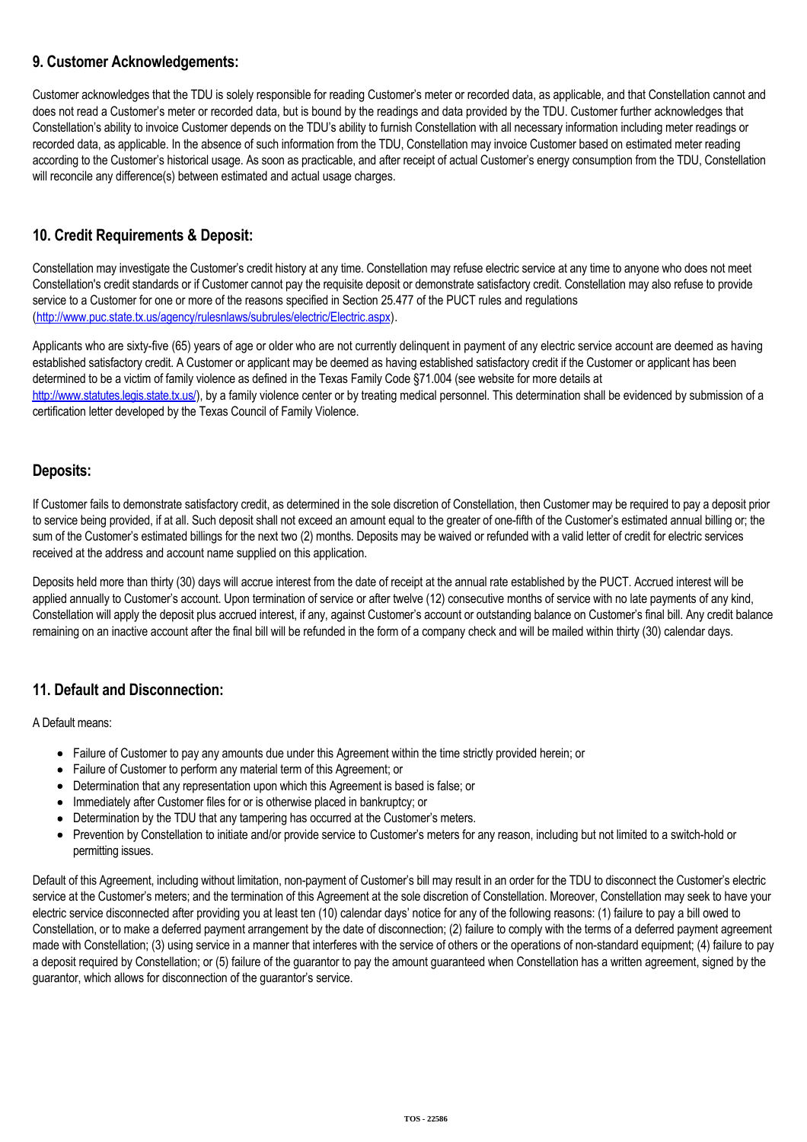### **9. Customer Acknowledgements:**

Customer acknowledges that the TDU is solely responsible for reading Customer's meter or recorded data, as applicable, and that Constellation cannot and does not read a Customer's meter or recorded data, but is bound by the readings and data provided by the TDU. Customer further acknowledges that Constellation's ability to invoice Customer depends on the TDU's ability to furnish Constellation with all necessary information including meter readings or recorded data, as applicable. In the absence of such information from the TDU, Constellation may invoice Customer based on estimated meter reading according to the Customer's historical usage. As soon as practicable, and after receipt of actual Customer's energy consumption from the TDU, Constellation will reconcile any difference(s) between estimated and actual usage charges.

# **10. Credit Requirements & Deposit:**

Constellation may investigate the Customer's credit history at any time. Constellation may refuse electric service at any time to anyone who does not meet Constellation's credit standards or if Customer cannot pay the requisite deposit or demonstrate satisfactory credit. Constellation may also refuse to provide service to a Customer for one or more of the reasons specified in Section 25.477 of the PUCT rules and regulations (<http://www.puc.state.tx.us/agency/rulesnlaws/subrules/electric/Electric.aspx>).

Applicants who are sixty-five (65) years of age or older who are not currently delinquent in payment of any electric service account are deemed as having established satisfactory credit. A Customer or applicant may be deemed as having established satisfactory credit if the Customer or applicant has been determined to be a victim of family violence as defined in the Texas Family Code §71.004 (see website for more details at [http://www.statutes.legis.state.tx.us/\)](http://www.statutes.legis.state.tx.us/), by a family violence center or by treating medical personnel. This determination shall be evidenced by submission of a certification letter developed by the Texas Council of Family Violence.

### **Deposits:**

If Customer fails to demonstrate satisfactory credit, as determined in the sole discretion of Constellation, then Customer may be required to pay a deposit prior to service being provided, if at all. Such deposit shall not exceed an amount equal to the greater of one-fifth of the Customer's estimated annual billing or; the sum of the Customer's estimated billings for the next two (2) months. Deposits may be waived or refunded with a valid letter of credit for electric services received at the address and account name supplied on this application.

Deposits held more than thirty (30) days will accrue interest from the date of receipt at the annual rate established by the PUCT. Accrued interest will be applied annually to Customer's account. Upon termination of service or after twelve (12) consecutive months of service with no late payments of any kind, Constellation will apply the deposit plus accrued interest, if any, against Customer's account or outstanding balance on Customer's final bill. Any credit balance remaining on an inactive account after the final bill will be refunded in the form of a company check and will be mailed within thirty (30) calendar days.

# **11. Default and Disconnection:**

A Default means:

- Failure of Customer to pay any amounts due under this Agreement within the time strictly provided herein; or
- Failure of Customer to perform any material term of this Agreement; or
- Determination that any representation upon which this Agreement is based is false; or
- Immediately after Customer files for or is otherwise placed in bankruptcy; or
- Determination by the TDU that any tampering has occurred at the Customer's meters.
- Prevention by Constellation to initiate and/or provide service to Customer's meters for any reason, including but not limited to a switch-hold or permitting issues.

Default of this Agreement, including without limitation, non-payment of Customer's bill may result in an order for the TDU to disconnect the Customer's electric service at the Customer's meters; and the termination of this Agreement at the sole discretion of Constellation. Moreover, Constellation may seek to have your electric service disconnected after providing you at least ten (10) calendar days' notice for any of the following reasons: (1) failure to pay a bill owed to Constellation, or to make a deferred payment arrangement by the date of disconnection; (2) failure to comply with the terms of a deferred payment agreement made with Constellation; (3) using service in a manner that interferes with the service of others or the operations of non-standard equipment; (4) failure to pay a deposit required by Constellation; or (5) failure of the guarantor to pay the amount guaranteed when Constellation has a written agreement, signed by the guarantor, which allows for disconnection of the guarantor's service.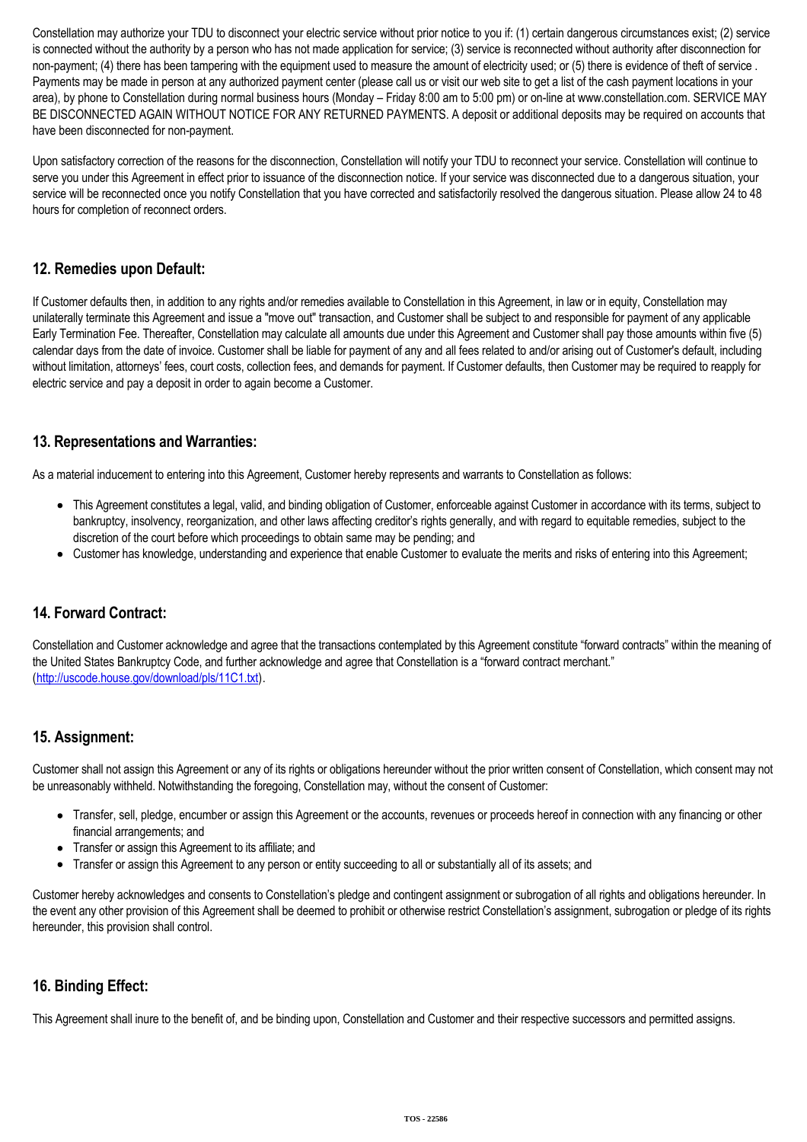Constellation may authorize your TDU to disconnect your electric service without prior notice to you if: (1) certain dangerous circumstances exist; (2) service is connected without the authority by a person who has not made application for service; (3) service is reconnected without authority after disconnection for non-payment; (4) there has been tampering with the equipment used to measure the amount of electricity used; or (5) there is evidence of theft of service. Payments may be made in person at any authorized payment center (please call us or visit our web site to get a list of the cash payment locations in your area), by phone to Constellation during normal business hours (Monday – Friday 8:00 am to 5:00 pm) or on-line at www.constellation.com. SERVICE MAY BE DISCONNECTED AGAIN WITHOUT NOTICE FOR ANY RETURNED PAYMENTS. A deposit or additional deposits may be required on accounts that have been disconnected for non-payment.

Upon satisfactory correction of the reasons for the disconnection, Constellation will notify your TDU to reconnect your service. Constellation will continue to serve you under this Agreement in effect prior to issuance of the disconnection notice. If your service was disconnected due to a dangerous situation, your service will be reconnected once you notify Constellation that you have corrected and satisfactorily resolved the dangerous situation. Please allow 24 to 48 hours for completion of reconnect orders.

## **12. Remedies upon Default:**

If Customer defaults then, in addition to any rights and/or remedies available to Constellation in this Agreement, in law or in equity, Constellation may unilaterally terminate this Agreement and issue a "move out" transaction, and Customer shall be subject to and responsible for payment of any applicable Early Termination Fee. Thereafter, Constellation may calculate all amounts due under this Agreement and Customer shall pay those amounts within five (5) calendar days from the date of invoice. Customer shall be liable for payment of any and all fees related to and/or arising out of Customer's default, including without limitation, attorneys' fees, court costs, collection fees, and demands for payment. If Customer defaults, then Customer may be required to reapply for electric service and pay a deposit in order to again become a Customer.

### **13. Representations and Warranties:**

As a material inducement to entering into this Agreement, Customer hereby represents and warrants to Constellation as follows:

- This Agreement constitutes a legal, valid, and binding obligation of Customer, enforceable against Customer in accordance with its terms, subject to bankruptcy, insolvency, reorganization, and other laws affecting creditor's rights generally, and with regard to equitable remedies, subject to the discretion of the court before which proceedings to obtain same may be pending; and
- Customer has knowledge, understanding and experience that enable Customer to evaluate the merits and risks of entering into this Agreement;

# **14. Forward Contract:**

Constellation and Customer acknowledge and agree that the transactions contemplated by this Agreement constitute "forward contracts" within the meaning of the United States Bankruptcy Code, and further acknowledge and agree that Constellation is a "forward contract merchant." (<http://uscode.house.gov/download/pls/11C1.txt>).

### **15. Assignment:**

Customer shall not assign this Agreement or any of its rights or obligations hereunder without the prior written consent of Constellation, which consent may not be unreasonably withheld. Notwithstanding the foregoing, Constellation may, without the consent of Customer:

- Transfer, sell, pledge, encumber or assign this Agreement or the accounts, revenues or proceeds hereof in connection with any financing or other financial arrangements; and
- Transfer or assign this Agreement to its affiliate; and
- Transfer or assign this Agreement to any person or entity succeeding to all or substantially all of its assets; and

Customer hereby acknowledges and consents to Constellation's pledge and contingent assignment or subrogation of all rights and obligations hereunder. In the event any other provision of this Agreement shall be deemed to prohibit or otherwise restrict Constellation's assignment, subrogation or pledge of its rights hereunder, this provision shall control.

### **16. Binding Effect:**

This Agreement shall inure to the benefit of, and be binding upon, Constellation and Customer and their respective successors and permitted assigns.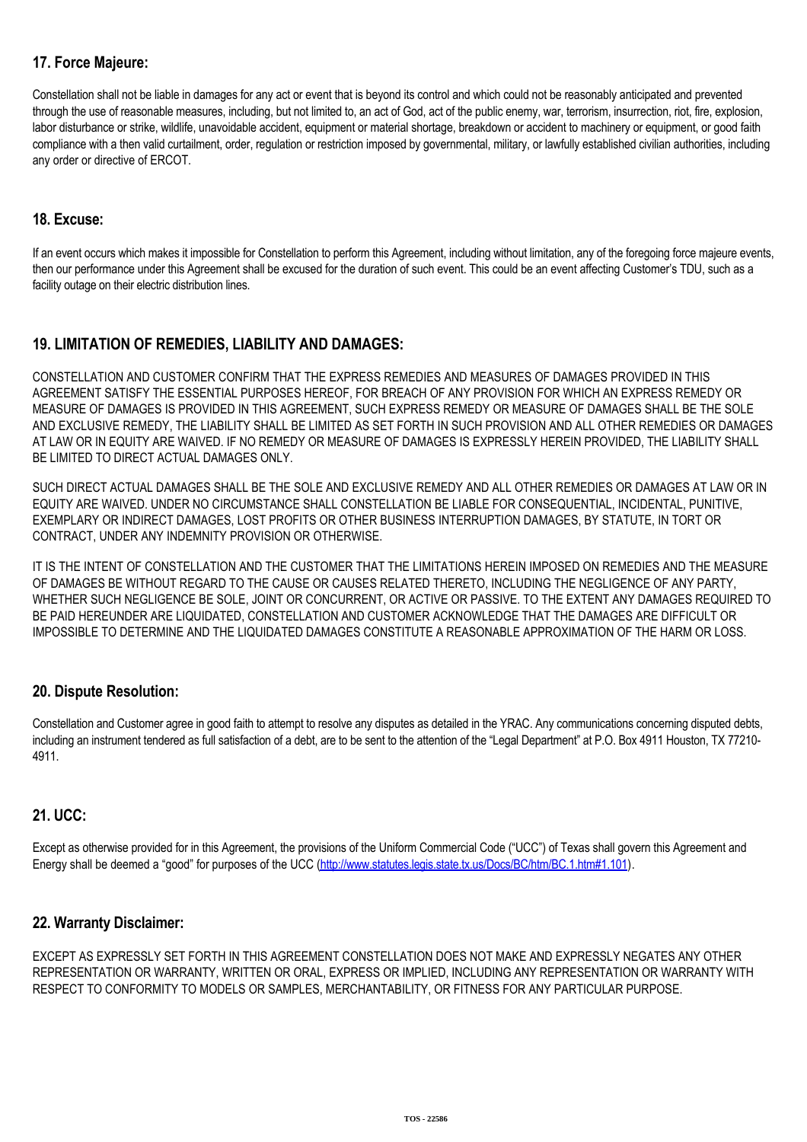# **17. Force Majeure:**

Constellation shall not be liable in damages for any act or event that is beyond its control and which could not be reasonably anticipated and prevented through the use of reasonable measures, including, but not limited to, an act of God, act of the public enemy, war, terrorism, insurrection, riot, fire, explosion, labor disturbance or strike, wildlife, unavoidable accident, equipment or material shortage, breakdown or accident to machinery or equipment, or good faith compliance with a then valid curtailment, order, regulation or restriction imposed by governmental, military, or lawfully established civilian authorities, including any order or directive of ERCOT.

### **18. Excuse:**

If an event occurs which makes it impossible for Constellation to perform this Agreement, including without limitation, any of the foregoing force majeure events, then our performance under this Agreement shall be excused for the duration of such event. This could be an event affecting Customer's TDU, such as a facility outage on their electric distribution lines.

# **19. LIMITATION OF REMEDIES, LIABILITY AND DAMAGES:**

CONSTELLATION AND CUSTOMER CONFIRM THAT THE EXPRESS REMEDIES AND MEASURES OF DAMAGES PROVIDED IN THIS AGREEMENT SATISFY THE ESSENTIAL PURPOSES HEREOF, FOR BREACH OF ANY PROVISION FOR WHICH AN EXPRESS REMEDY OR MEASURE OF DAMAGES IS PROVIDED IN THIS AGREEMENT, SUCH EXPRESS REMEDY OR MEASURE OF DAMAGES SHALL BE THE SOLE AND EXCLUSIVE REMEDY, THE LIABILITY SHALL BE LIMITED AS SET FORTH IN SUCH PROVISION AND ALL OTHER REMEDIES OR DAMAGES AT LAW OR IN EQUITY ARE WAIVED. IF NO REMEDY OR MEASURE OF DAMAGES IS EXPRESSLY HEREIN PROVIDED, THE LIABILITY SHALL BE LIMITED TO DIRECT ACTUAL DAMAGES ONLY.

SUCH DIRECT ACTUAL DAMAGES SHALL BE THE SOLE AND EXCLUSIVE REMEDY AND ALL OTHER REMEDIES OR DAMAGES AT LAW OR IN EQUITY ARE WAIVED. UNDER NO CIRCUMSTANCE SHALL CONSTELLATION BE LIABLE FOR CONSEQUENTIAL, INCIDENTAL, PUNITIVE, EXEMPLARY OR INDIRECT DAMAGES, LOST PROFITS OR OTHER BUSINESS INTERRUPTION DAMAGES, BY STATUTE, IN TORT OR CONTRACT, UNDER ANY INDEMNITY PROVISION OR OTHERWISE.

IT IS THE INTENT OF CONSTELLATION AND THE CUSTOMER THAT THE LIMITATIONS HEREIN IMPOSED ON REMEDIES AND THE MEASURE OF DAMAGES BE WITHOUT REGARD TO THE CAUSE OR CAUSES RELATED THERETO, INCLUDING THE NEGLIGENCE OF ANY PARTY, WHETHER SUCH NEGLIGENCE BE SOLE, JOINT OR CONCURRENT, OR ACTIVE OR PASSIVE. TO THE EXTENT ANY DAMAGES REQUIRED TO BE PAID HEREUNDER ARE LIQUIDATED, CONSTELLATION AND CUSTOMER ACKNOWLEDGE THAT THE DAMAGES ARE DIFFICULT OR IMPOSSIBLE TO DETERMINE AND THE LIQUIDATED DAMAGES CONSTITUTE A REASONABLE APPROXIMATION OF THE HARM OR LOSS.

### **20. Dispute Resolution:**

Constellation and Customer agree in good faith to attempt to resolve any disputes as detailed in the YRAC. Any communications concerning disputed debts, including an instrument tendered as full satisfaction of a debt, are to be sent to the attention of the "Legal Department" at P.O. Box 4911 Houston, TX 77210-4911.

### **21. UCC:**

Except as otherwise provided for in this Agreement, the provisions of the Uniform Commercial Code ("UCC") of Texas shall govern this Agreement and Energy shall be deemed a "good" for purposes of the UCC [\(http://www.statutes.legis.state.tx.us/Docs/BC/htm/BC.1.htm#1.101\)](http://www.statutes.legis.state.tx.us/Docs/BC/htm/BC.1.htm#1.101).

### **22. Warranty Disclaimer:**

EXCEPT AS EXPRESSLY SET FORTH IN THIS AGREEMENT CONSTELLATION DOES NOT MAKE AND EXPRESSLY NEGATES ANY OTHER REPRESENTATION OR WARRANTY, WRITTEN OR ORAL, EXPRESS OR IMPLIED, INCLUDING ANY REPRESENTATION OR WARRANTY WITH RESPECT TO CONFORMITY TO MODELS OR SAMPLES, MERCHANTABILITY, OR FITNESS FOR ANY PARTICULAR PURPOSE.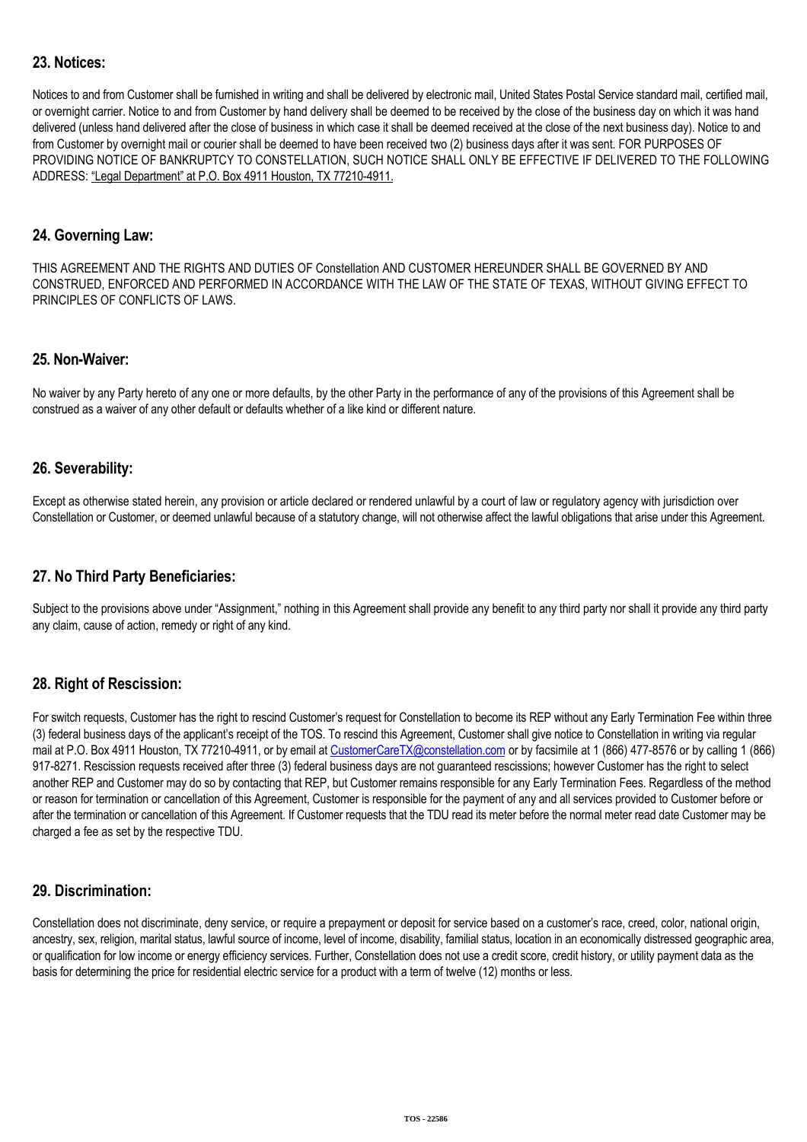## **23. Notices:**

Notices to and from Customer shall be furnished in writing and shall be delivered by electronic mail, United States Postal Service standard mail, certified mail, or overnight carrier. Notice to and from Customer by hand delivery shall be deemed to be received by the close of the business day on which it was hand delivered (unless hand delivered after the close of business in which case it shall be deemed received at the close of the next business day). Notice to and from Customer by overnight mail or courier shall be deemed to have been received two (2) business days after it was sent. FOR PURPOSES OF PROVIDING NOTICE OF BANKRUPTCY TO CONSTELLATION, SUCH NOTICE SHALL ONLY BE EFFECTIVE IF DELIVERED TO THE FOLLOWING ADDRESS: "Legal Department" at P.O. Box 4911 Houston, TX 77210-4911.

#### **24. Governing Law:**

THIS AGREEMENT AND THE RIGHTS AND DUTIES OF Constellation AND CUSTOMER HEREUNDER SHALL BE GOVERNED BY AND CONSTRUED, ENFORCED AND PERFORMED IN ACCORDANCE WITH THE LAW OF THE STATE OF TEXAS, WITHOUT GIVING EFFECT TO PRINCIPLES OF CONFLICTS OF LAWS.

#### **25. Non-Waiver:**

No waiver by any Party hereto of any one or more defaults, by the other Party in the performance of any of the provisions of this Agreement shall be construed as a waiver of any other default or defaults whether of a like kind or different nature.

### **26. Severability:**

Except as otherwise stated herein, any provision or article declared or rendered unlawful by a court of law or regulatory agency with jurisdiction over Constellation or Customer, or deemed unlawful because of a statutory change, will not otherwise affect the lawful obligations that arise under this Agreement.

### **27. No Third Party Beneficiaries:**

Subject to the provisions above under "Assignment," nothing in this Agreement shall provide any benefit to any third party nor shall it provide any third party any claim, cause of action, remedy or right of any kind.

### **28. Right of Rescission:**

For switch requests, Customer has the right to rescind Customer's request for Constellation to become its REP without any Early Termination Fee within three (3) federal business days of the applicant's receipt of the TOS. To rescind this Agreement, Customer shall give notice to Constellation in writing via regular mail at P.O. Box 4911 Houston, TX 77210-4911, or by email at [CustomerCareTX@constellation.com](mailto:CustomerCareTX@constellation.com) or by facsimile at 1 (866) 477-8576 or by calling 1 (866) 917-8271. Rescission requests received after three (3) federal business days are not guaranteed rescissions; however Customer has the right to select another REP and Customer may do so by contacting that REP, but Customer remains responsible for any Early Termination Fees. Regardless of the method or reason for termination or cancellation of this Agreement, Customer is responsible for the payment of any and all services provided to Customer before or after the termination or cancellation of this Agreement. If Customer requests that the TDU read its meter before the normal meter read date Customer may be charged a fee as set by the respective TDU.

### **29. Discrimination:**

Constellation does not discriminate, deny service, or require a prepayment or deposit for service based on a customer's race, creed, color, national origin, ancestry, sex, religion, marital status, lawful source of income, level of income, disability, familial status, location in an economically distressed geographic area, or qualification for low income or energy efficiency services. Further, Constellation does not use a credit score, credit history, or utility payment data as the basis for determining the price for residential electric service for a product with a term of twelve (12) months or less.